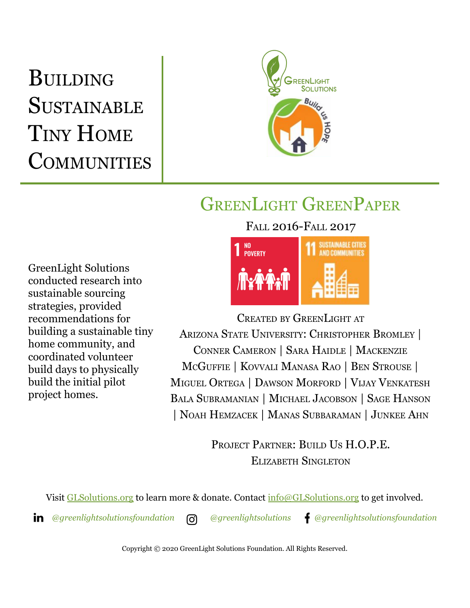# BUILDING **SUSTAINABLE** TINY HOME **COMMUNITIES**



## GREENLIGHT GREENPAPER

FALL 2016-FALL 2017

GreenLight Solutions conducted research into sustainable sourcing strategies, provided recommendations for building a sustainable tiny home community, and coordinated volunteer build days to physically build the initial pilot project homes.



CREATED BY GREENLIGHT AT ARIZONA STATE UNIVERSITY: CHRISTOPHER BROMLEY | CONNER CAMERON | SARA HAIDLE | MACKENZIE MCGUFFIE | KOVVALI MANASA RAO | BEN STROUSE | MIGUEL ORTEGA | DAWSON MORFORD | VIJAY VENKATESH BALA SUBRAMANIAN | MICHAEL JACOBSON | SAGE HANSON | NOAH HEMZACEK | MANAS SUBBARAMAN | JUNKEE AHN

> PROJECT PARTNER: BUILD US H.O.P.E. ELIZABETH SINGLETON

Visit [GLSolutions.org](https://www.glsolutions.org/) to learn more & donate. Contact  $\frac{info@GLSolutions.org}{info@GLSolutions.org}$  to get involved.

*[@greenlightsolutionsfoundation](https://www.linkedin.com/company/10571635) [@greenlightsolutions](https://www.instagram.com/greenlightsolutions/) [@greenlightsolutionsfoundation](https://www.facebook.com/GreenLightSolutionsFoundation/)*

Copyright © 2020 GreenLight Solutions Foundation. All Rights Reserved.